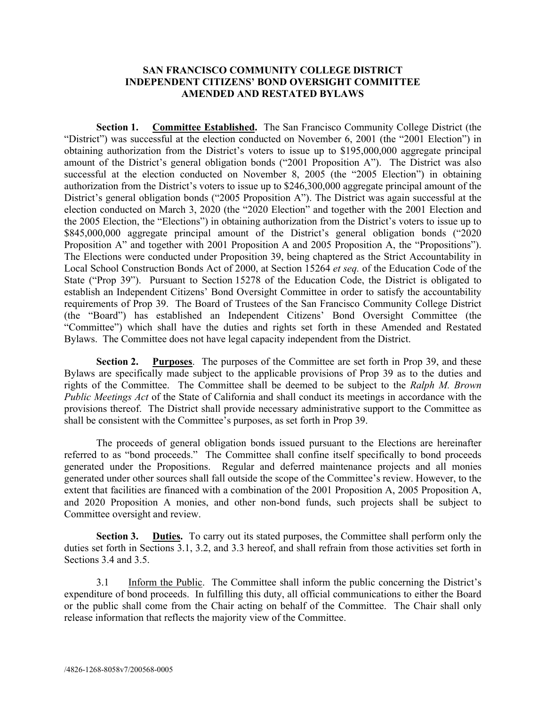## **SAN FRANCISCO COMMUNITY COLLEGE DISTRICT INDEPENDENT CITIZENS' BOND OVERSIGHT COMMITTEE AMENDED AND RESTATED BYLAWS**

**Section 1. Committee Established.** The San Francisco Community College District (the "District") was successful at the election conducted on November 6, 2001 (the "2001 Election") in obtaining authorization from the District's voters to issue up to \$195,000,000 aggregate principal amount of the District's general obligation bonds ("2001 Proposition A"). The District was also successful at the election conducted on November 8, 2005 (the "2005 Election") in obtaining authorization from the District's voters to issue up to \$246,300,000 aggregate principal amount of the District's general obligation bonds ("2005 Proposition A"). The District was again successful at the election conducted on March 3, 2020 (the "2020 Election" and together with the 2001 Election and the 2005 Election, the "Elections") in obtaining authorization from the District's voters to issue up to \$845,000,000 aggregate principal amount of the District's general obligation bonds ("2020 Proposition A" and together with 2001 Proposition A and 2005 Proposition A, the "Propositions"). The Elections were conducted under Proposition 39, being chaptered as the Strict Accountability in Local School Construction Bonds Act of 2000, at Section 15264 *et seq.* of the Education Code of the State ("Prop 39"). Pursuant to Section 15278 of the Education Code, the District is obligated to establish an Independent Citizens' Bond Oversight Committee in order to satisfy the accountability requirements of Prop 39. The Board of Trustees of the San Francisco Community College District (the "Board") has established an Independent Citizens' Bond Oversight Committee (the "Committee") which shall have the duties and rights set forth in these Amended and Restated Bylaws. The Committee does not have legal capacity independent from the District.

**Section 2. Purposes**. The purposes of the Committee are set forth in Prop 39, and these Bylaws are specifically made subject to the applicable provisions of Prop 39 as to the duties and rights of the Committee. The Committee shall be deemed to be subject to the *Ralph M. Brown Public Meetings Act* of the State of California and shall conduct its meetings in accordance with the provisions thereof. The District shall provide necessary administrative support to the Committee as shall be consistent with the Committee's purposes, as set forth in Prop 39.

The proceeds of general obligation bonds issued pursuant to the Elections are hereinafter referred to as "bond proceeds." The Committee shall confine itself specifically to bond proceeds generated under the Propositions. Regular and deferred maintenance projects and all monies generated under other sources shall fall outside the scope of the Committee's review. However, to the extent that facilities are financed with a combination of the 2001 Proposition A, 2005 Proposition A, and 2020 Proposition A monies, and other non-bond funds, such projects shall be subject to Committee oversight and review.

**Section 3. Duties.** To carry out its stated purposes, the Committee shall perform only the duties set forth in Sections 3.1, 3.2, and 3.3 hereof, and shall refrain from those activities set forth in Sections 3.4 and 3.5.

3.1 Inform the Public. The Committee shall inform the public concerning the District's expenditure of bond proceeds. In fulfilling this duty, all official communications to either the Board or the public shall come from the Chair acting on behalf of the Committee. The Chair shall only release information that reflects the majority view of the Committee.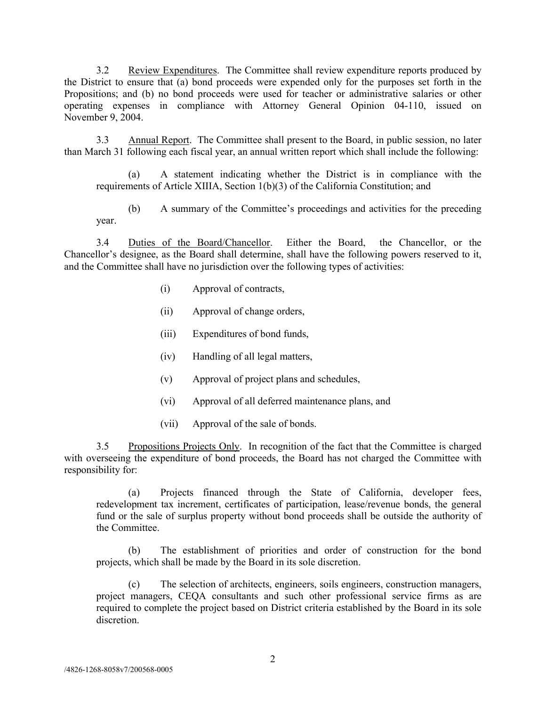3.2 Review Expenditures. The Committee shall review expenditure reports produced by the District to ensure that (a) bond proceeds were expended only for the purposes set forth in the Propositions; and (b) no bond proceeds were used for teacher or administrative salaries or other operating expenses in compliance with Attorney General Opinion 04-110, issued on November 9, 2004.

3.3 Annual Report. The Committee shall present to the Board, in public session, no later than March 31 following each fiscal year, an annual written report which shall include the following:

(a) A statement indicating whether the District is in compliance with the requirements of Article XIIIA, Section 1(b)(3) of the California Constitution; and

(b) A summary of the Committee's proceedings and activities for the preceding year.

3.4 Duties of the Board/Chancellor. Either the Board, the Chancellor, or the Chancellor's designee, as the Board shall determine, shall have the following powers reserved to it, and the Committee shall have no jurisdiction over the following types of activities:

- (i) Approval of contracts,
- (ii) Approval of change orders,
- (iii) Expenditures of bond funds,
- (iv) Handling of all legal matters,
- (v) Approval of project plans and schedules,
- (vi) Approval of all deferred maintenance plans, and
- (vii) Approval of the sale of bonds.

3.5 Propositions Projects Only. In recognition of the fact that the Committee is charged with overseeing the expenditure of bond proceeds, the Board has not charged the Committee with responsibility for:

(a) Projects financed through the State of California, developer fees, redevelopment tax increment, certificates of participation, lease/revenue bonds, the general fund or the sale of surplus property without bond proceeds shall be outside the authority of the Committee.

(b) The establishment of priorities and order of construction for the bond projects, which shall be made by the Board in its sole discretion.

(c) The selection of architects, engineers, soils engineers, construction managers, project managers, CEQA consultants and such other professional service firms as are required to complete the project based on District criteria established by the Board in its sole discretion.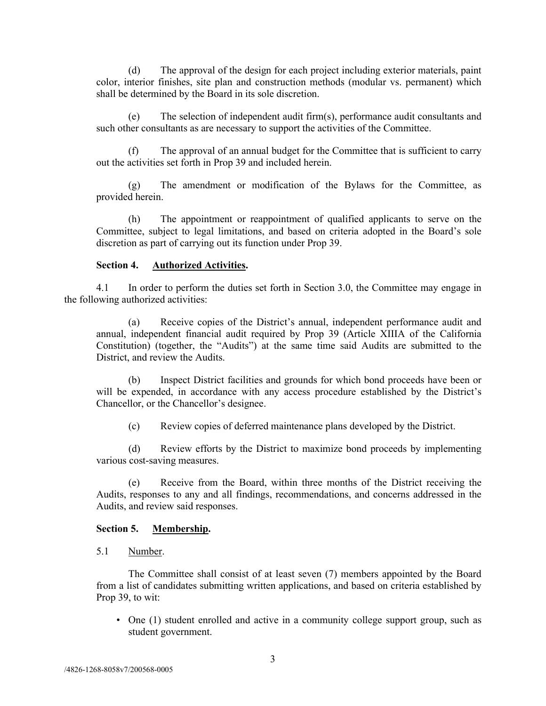(d) The approval of the design for each project including exterior materials, paint color, interior finishes, site plan and construction methods (modular vs. permanent) which shall be determined by the Board in its sole discretion.

(e) The selection of independent audit firm(s), performance audit consultants and such other consultants as are necessary to support the activities of the Committee.

(f) The approval of an annual budget for the Committee that is sufficient to carry out the activities set forth in Prop 39 and included herein.

The amendment or modification of the Bylaws for the Committee, as provided herein.

(h) The appointment or reappointment of qualified applicants to serve on the Committee, subject to legal limitations, and based on criteria adopted in the Board's sole discretion as part of carrying out its function under Prop 39.

#### **Section 4. Authorized Activities.**

4.1 In order to perform the duties set forth in Section 3.0, the Committee may engage in the following authorized activities:

(a) Receive copies of the District's annual, independent performance audit and annual, independent financial audit required by Prop 39 (Article XIIIA of the California Constitution) (together, the "Audits") at the same time said Audits are submitted to the District, and review the Audits.

(b) Inspect District facilities and grounds for which bond proceeds have been or will be expended, in accordance with any access procedure established by the District's Chancellor, or the Chancellor's designee.

(c) Review copies of deferred maintenance plans developed by the District.

(d) Review efforts by the District to maximize bond proceeds by implementing various cost-saving measures.

(e) Receive from the Board, within three months of the District receiving the Audits, responses to any and all findings, recommendations, and concerns addressed in the Audits, and review said responses.

## **Section 5. Membership.**

5.1 Number.

The Committee shall consist of at least seven (7) members appointed by the Board from a list of candidates submitting written applications, and based on criteria established by Prop 39, to wit:

• One (1) student enrolled and active in a community college support group, such as student government.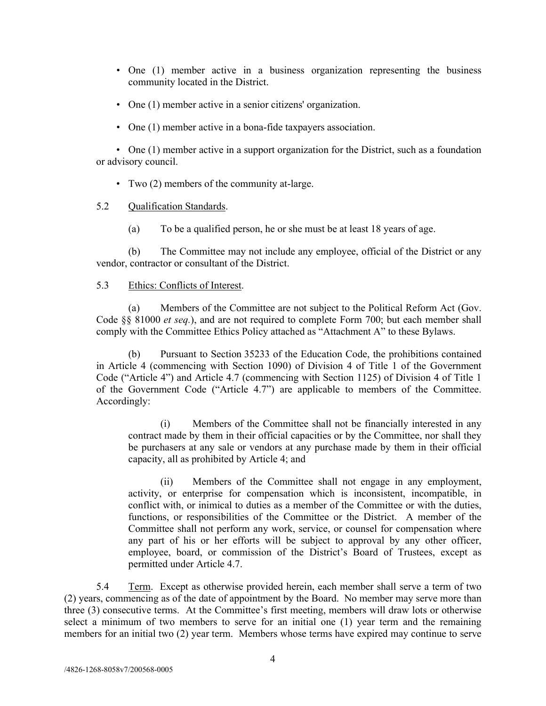- One (1) member active in a business organization representing the business community located in the District.
- One (1) member active in a senior citizens' organization.
- One (1) member active in a bona-fide taxpayers association.

• One (1) member active in a support organization for the District, such as a foundation or advisory council.

• Two (2) members of the community at-large.

### 5.2 Qualification Standards.

(a) To be a qualified person, he or she must be at least 18 years of age.

(b) The Committee may not include any employee, official of the District or any vendor, contractor or consultant of the District.

## 5.3 Ethics: Conflicts of Interest.

(a) Members of the Committee are not subject to the Political Reform Act (Gov. Code §§ 81000 *et seq.*), and are not required to complete Form 700; but each member shall comply with the Committee Ethics Policy attached as "Attachment A" to these Bylaws.

(b) Pursuant to Section 35233 of the Education Code, the prohibitions contained in Article 4 (commencing with Section 1090) of Division 4 of Title 1 of the Government Code ("Article 4") and Article 4.7 (commencing with Section 1125) of Division 4 of Title 1 of the Government Code ("Article 4.7") are applicable to members of the Committee. Accordingly:

(i) Members of the Committee shall not be financially interested in any contract made by them in their official capacities or by the Committee, nor shall they be purchasers at any sale or vendors at any purchase made by them in their official capacity, all as prohibited by Article 4; and

(ii) Members of the Committee shall not engage in any employment, activity, or enterprise for compensation which is inconsistent, incompatible, in conflict with, or inimical to duties as a member of the Committee or with the duties, functions, or responsibilities of the Committee or the District. A member of the Committee shall not perform any work, service, or counsel for compensation where any part of his or her efforts will be subject to approval by any other officer, employee, board, or commission of the District's Board of Trustees, except as permitted under Article 4.7.

5.4 Term. Except as otherwise provided herein, each member shall serve a term of two (2) years, commencing as of the date of appointment by the Board. No member may serve more than three (3) consecutive terms. At the Committee's first meeting, members will draw lots or otherwise select a minimum of two members to serve for an initial one (1) year term and the remaining members for an initial two (2) year term. Members whose terms have expired may continue to serve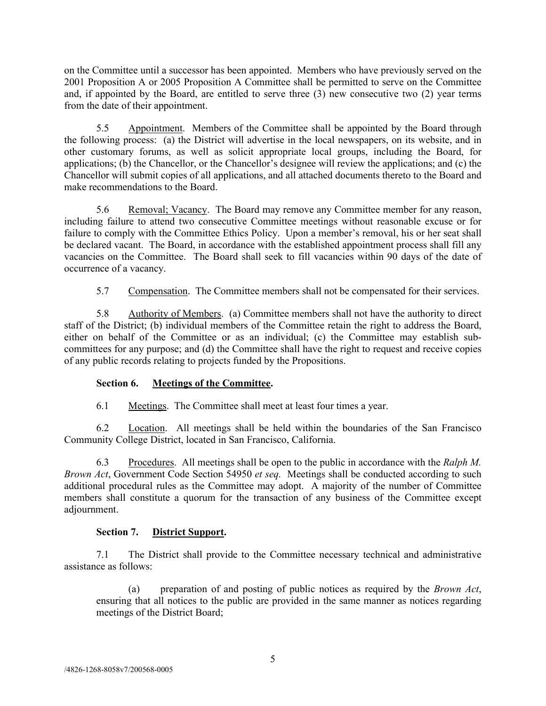on the Committee until a successor has been appointed. Members who have previously served on the 2001 Proposition A or 2005 Proposition A Committee shall be permitted to serve on the Committee and, if appointed by the Board, are entitled to serve three (3) new consecutive two (2) year terms from the date of their appointment.

5.5 Appointment. Members of the Committee shall be appointed by the Board through the following process: (a) the District will advertise in the local newspapers, on its website, and in other customary forums, as well as solicit appropriate local groups, including the Board, for applications; (b) the Chancellor, or the Chancellor's designee will review the applications; and (c) the Chancellor will submit copies of all applications, and all attached documents thereto to the Board and make recommendations to the Board.

5.6 Removal; Vacancy. The Board may remove any Committee member for any reason, including failure to attend two consecutive Committee meetings without reasonable excuse or for failure to comply with the Committee Ethics Policy. Upon a member's removal, his or her seat shall be declared vacant. The Board, in accordance with the established appointment process shall fill any vacancies on the Committee. The Board shall seek to fill vacancies within 90 days of the date of occurrence of a vacancy.

5.7 Compensation. The Committee members shall not be compensated for their services.

5.8 Authority of Members. (a) Committee members shall not have the authority to direct staff of the District; (b) individual members of the Committee retain the right to address the Board, either on behalf of the Committee or as an individual; (c) the Committee may establish subcommittees for any purpose; and (d) the Committee shall have the right to request and receive copies of any public records relating to projects funded by the Propositions.

# **Section 6. Meetings of the Committee.**

6.1 Meetings. The Committee shall meet at least four times a year.

6.2 Location. All meetings shall be held within the boundaries of the San Francisco Community College District, located in San Francisco, California.

6.3 Procedures. All meetings shall be open to the public in accordance with the *Ralph M. Brown Act*, Government Code Section 54950 *et seq.* Meetings shall be conducted according to such additional procedural rules as the Committee may adopt. A majority of the number of Committee members shall constitute a quorum for the transaction of any business of the Committee except adjournment.

# **Section 7. District Support.**

7.1 The District shall provide to the Committee necessary technical and administrative assistance as follows:

(a) preparation of and posting of public notices as required by the *Brown Act*, ensuring that all notices to the public are provided in the same manner as notices regarding meetings of the District Board;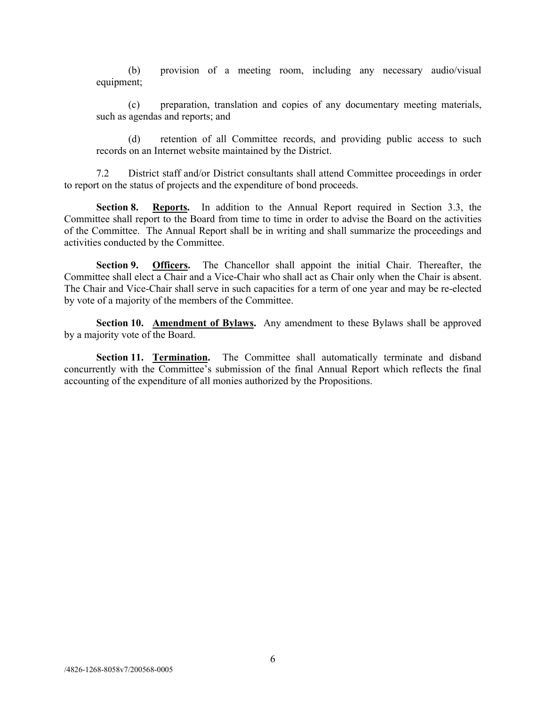(b) provision of a meeting room, including any necessary audio/visual equipment;

(c) preparation, translation and copies of any documentary meeting materials, such as agendas and reports; and

(d) retention of all Committee records, and providing public access to such records on an Internet website maintained by the District.

7.2 District staff and/or District consultants shall attend Committee proceedings in order to report on the status of projects and the expenditure of bond proceeds.

**Section 8. Reports.** In addition to the Annual Report required in Section 3.3, the Committee shall report to the Board from time to time in order to advise the Board on the activities of the Committee. The Annual Report shall be in writing and shall summarize the proceedings and activities conducted by the Committee.

**Section 9. Officers.** The Chancellor shall appoint the initial Chair. Thereafter, the Committee shall elect a Chair and a Vice-Chair who shall act as Chair only when the Chair is absent. The Chair and Vice-Chair shall serve in such capacities for a term of one year and may be re-elected by vote of a majority of the members of the Committee.

**Section 10. Amendment of Bylaws.** Any amendment to these Bylaws shall be approved by a majority vote of the Board.

**Section 11. Termination.** The Committee shall automatically terminate and disband concurrently with the Committee's submission of the final Annual Report which reflects the final accounting of the expenditure of all monies authorized by the Propositions.